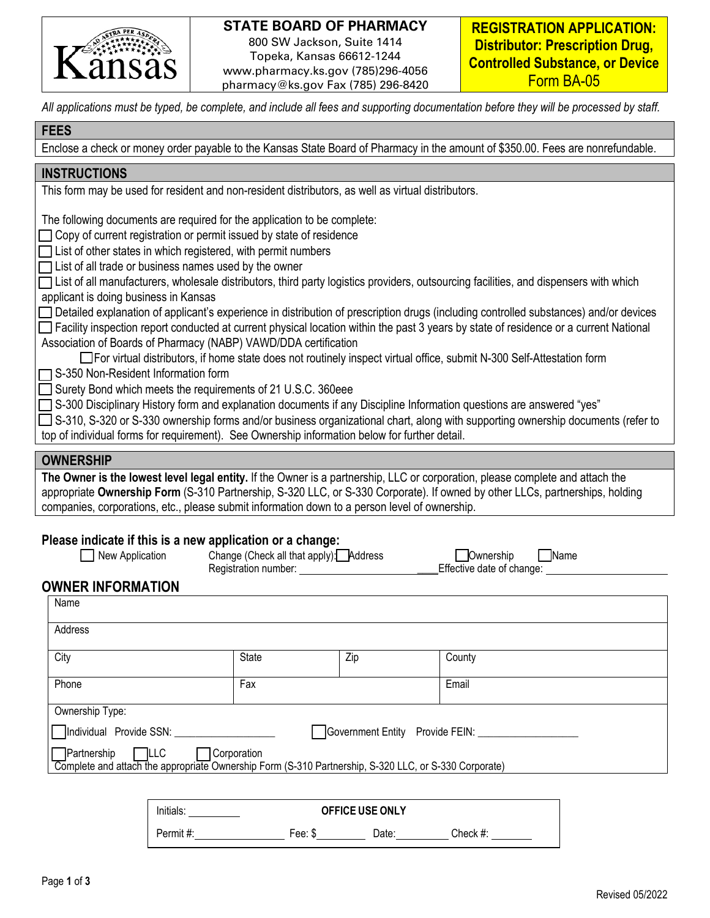

### **STATE BOARD OF PHARMACY**

800 SW Jackson, Suite 1414 Topeka, Kansas 66612-1244 www.pharmacy.ks.gov (785)296-4056 pharmacy@ks.gov Fax (785) 296-8420

**REGISTRATION APPLICATION: Distributor: Prescription Drug, Controlled Substance, or Device** Form BA-05

*All applications must be typed, be complete, and include all fees and supporting documentation before they will be processed by staff.* 

### **FEES**

Enclose a check or money order payable to the Kansas State Board of Pharmacy in the amount of \$350.00. Fees are nonrefundable.

### **INSTRUCTIONS**

This form may be used for resident and non-resident distributors, as well as virtual distributors.

The following documents are required for the application to be complete:

 $\Box$  Copy of current registration or permit issued by state of residence

 $\Box$  List of other states in which registered, with permit numbers

 $\Box$  List of all trade or business names used by the owner

| □ List of all manufacturers, wholesale distributors, third party logistics providers, outsourcing facilities, and dispensers with which |  |  |
|-----------------------------------------------------------------------------------------------------------------------------------------|--|--|
| applicant is doing business in Kansas                                                                                                   |  |  |

□ Detailed explanation of applicant's experience in distribution of prescription drugs (including controlled substances) and/or devices

 $\Box$  Facility inspection report conducted at current physical location within the past 3 years by state of residence or a current National Association of Boards of Pharmacy (NABP) VAWD/DDA certification

For virtual distributors, if home state does not routinely inspect virtual office, submit N-300 Self-Attestation form

□S-350 Non-Resident Information form

□ Surety Bond which meets the requirements of 21 U.S.C. 360eee

S-300 Disciplinary History form and explanation documents if any Discipline Information questions are answered "yes"

□ S-310, S-320 or S-330 ownership forms and/or business organizational chart, along with supporting ownership documents (refer to top of individual forms for requirement). See Ownership information below for further detail.

#### **OWNERSHIP**

**The Owner is the lowest level legal entity.** If the Owner is a partnership, LLC or corporation, please complete and attach the appropriate **Ownership Form** (S-310 Partnership, S-320 LLC, or S-330 Corporate). If owned by other LLCs, partnerships, holding companies, corporations, etc., please submit information down to a person level of ownership.

#### **Please indicate if this is a new application or a change:**

| New Application                                                                                                                    | Change (Check all that apply): Address<br>Registration number: Neglistration |     | Name<br>Ownership<br>Effective date of change: |  |
|------------------------------------------------------------------------------------------------------------------------------------|------------------------------------------------------------------------------|-----|------------------------------------------------|--|
| <b>OWNER INFORMATION</b>                                                                                                           |                                                                              |     |                                                |  |
| Name                                                                                                                               |                                                                              |     |                                                |  |
| Address                                                                                                                            |                                                                              |     |                                                |  |
| City                                                                                                                               | State                                                                        | Zip | County                                         |  |
| Phone                                                                                                                              | Fax                                                                          |     | Email                                          |  |
| Ownership Type:                                                                                                                    |                                                                              |     |                                                |  |
| Individual Provide SSN:                                                                                                            |                                                                              |     | Government Entity Provide FEIN:                |  |
| Partnership<br>$\Box$ LLC<br>Complete and attach the appropriate Ownership Form (S-310 Partnership, S-320 LLC, or S-330 Corporate) | Corporation                                                                  |     |                                                |  |

| Initials: | <b>OFFICE USE ONLY</b> |       |          |
|-----------|------------------------|-------|----------|
| Permit #: | Fee: \$                | Date: | Check #: |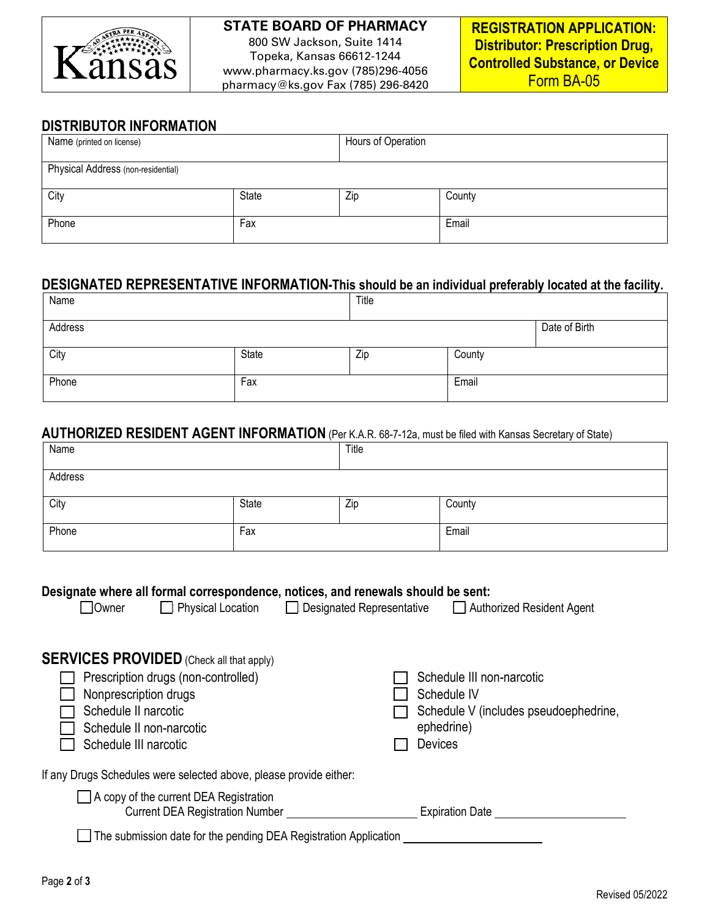

# **STATE BOARD OF PHARMACY** 800 SW Jackson, Suite 1414

Topeka, Kansas 66612-1244 www.pharmacy.ks.gov (785)296-4056 pharmacy@ks.gov Fax (785) 296-8420

### **DISTRIBUTOR INFORMATION**

| Name (printed on license)          |       | Hours of Operation |        |
|------------------------------------|-------|--------------------|--------|
| Physical Address (non-residential) |       |                    |        |
| City                               | State | Zip                | County |
| Phone                              | Fax   |                    | Email  |

### **DESIGNATED REPRESENTATIVE INFORMATION-This should be an individual preferably located at the facility.**

| Name    |       | Title |        |               |
|---------|-------|-------|--------|---------------|
| Address |       |       |        | Date of Birth |
| City    | State | Zip   | County |               |
| Phone   | Fax   |       | Email  |               |

#### **AUTHORIZED RESIDENT AGENT INFORMATION** (Per K.A.R. 68-7-12a, must be filed with Kansas Secretary of State)

| Name    |       | Title |        |
|---------|-------|-------|--------|
| Address |       |       |        |
| City    | State | Zip   | County |
| Phone   | Fax   |       | Email  |

#### **Designate where all formal correspondence, notices, and renewals should be sent:**

| Owner | Physical Location | □ Designated Representative □ Authorized Resident Agent |  |
|-------|-------------------|---------------------------------------------------------|--|
|       |                   |                                                         |  |

| <b>SERVICES PROVIDED</b> (Check all that apply)                                                                                           |                                                                                                                   |
|-------------------------------------------------------------------------------------------------------------------------------------------|-------------------------------------------------------------------------------------------------------------------|
| Prescription drugs (non-controlled)<br>Nonprescription drugs<br>Schedule II narcotic<br>Schedule II non-narcotic<br>Schedule III narcotic | Schedule III non-narcotic<br>Schedule IV<br>Schedule V (includes pseudoephedrine,<br>ephedrine)<br><b>Devices</b> |
| If any Drugs Schedules were selected above, please provide either:                                                                        |                                                                                                                   |
| A copy of the current DEA Registration<br><b>Current DEA Registration Number</b>                                                          | <b>Expiration Date</b>                                                                                            |
|                                                                                                                                           |                                                                                                                   |

The submission date for the pending DEA Registration Application